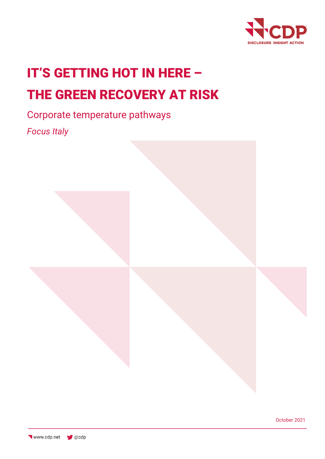

# IT'S GETTING HOT IN HERE – THE GREEN RECOVERY AT RISK

# Corporate temperature pathways

*Focus Italy*



October 2021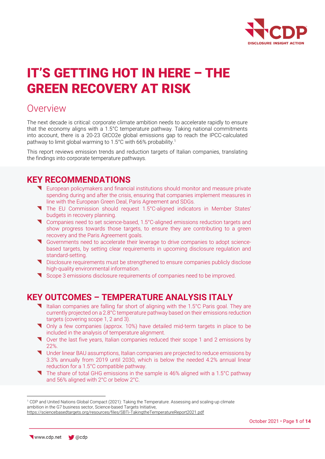

# IT'S GETTING HOT IN HERE – THE GREEN RECOVERY AT RISK

### Overview

The next decade is critical: corporate climate ambition needs to accelerate rapidly to ensure that the economy aligns with a 1.5°C temperature pathway. Taking national commitments into account, there is a 20-23 GtCO2e global emissions gap to reach the IPCC-calculated pathway to limit global warming to 1.5°C with 66% probability.<sup>1</sup>

This report reviews emission trends and reduction targets of Italian companies, translating the findings into corporate temperature pathways.

### **KEY RECOMMENDATIONS**

- European policymakers and financial institutions should monitor and measure private spending during and after the crisis, ensuring that companies implement measures in line with the European Green Deal, Paris Agreement and SDGs.
- The EU Commission should request 1.5°C-aligned indicators in Member States' budgets in recovery planning.
- Companies need to set science-based, 1.5°C-aligned emissions reduction targets and show progress towards those targets, to ensure they are contributing to a green recovery and the Paris Agreement goals.
- Governments need to accelerate their leverage to drive companies to adopt sciencebased targets, by setting clear requirements in upcoming disclosure regulation and standard-setting.
- Disclosure requirements must be strengthened to ensure companies publicly disclose high-quality environmental information.
- Scope 3 emissions disclosure requirements of companies need to be improved.

### **KEY OUTCOMES – TEMPERATURE ANALYSIS ITALY**

- Italian companies are falling far short of aligning with the 1.5°C Paris goal. They are currently projected on a 2.8°C temperature pathway based on their emissions reduction targets (covering scope 1, 2 and 3).
- Only a few companies (approx. 10%) have detailed mid-term targets in place to be included in the analysis of temperature alignment.
- Over the last five years, Italian companies reduced their scope 1 and 2 emissions by 22%.
- Under linear BAU assumptions, Italian companies are projected to reduce emissions by 3.3% annually from 2019 until 2030, which is below the needed 4.2% annual linear reduction for a 1.5°C compatible pathway.
- The share of total GHG emissions in the sample is 46% aligned with a 1.5°C pathway and 56% aligned with 2°C or below 2°C.

<sup>1</sup> CDP and United Nations Global Compact (2021): Taking the Temperature. Assessing and scaling-up climate ambition in the G7 business sector, Science-based Targets Initiative, <https://sciencebasedtargets.org/resources/files/SBTi-TakingtheTemperatureReport2021.pdf>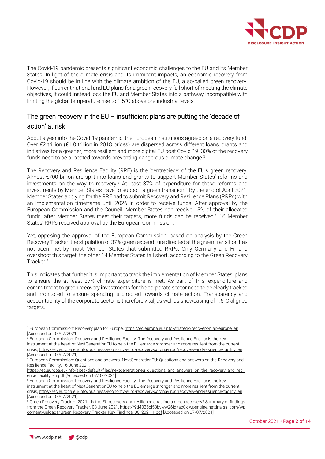

The Covid-19 pandemic presents significant economic challenges to the EU and its Member States. In light of the climate crisis and its imminent impacts, an economic recovery from Covid-19 should be in line with the climate ambition of the EU, a so-called green recovery. However, if current national and EU plans for a green recovery fall short of meeting the climate objectives, it could instead lock the EU and Member States into a pathway incompatible with limiting the global temperature rise to 1.5°C above pre-industrial levels.

### The green recovery in the EU – insufficient plans are putting the 'decade of action' at risk

About a year into the Covid-19 pandemic, the European institutions agreed on a recovery fund. Over €2 trillion (€1.8 trillion in 2018 prices) are dispersed across different loans, grants and initiatives for a greener, more resilient and more digital EU post Covid-19. 30% of the recovery funds need to be allocated towards preventing dangerous climate change.<sup>2</sup>

The Recovery and Resilience Facility (RRF) is the 'centrepiece' of the EU's green recovery. Almost €700 billion are split into loans and grants to support Member States' reforms and investments on the way to recovery.<sup>3</sup> At least 37% of expenditure for these reforms and investments by Member States have to support a green transition.<sup>4</sup> By the end of April 2021, Member States applying for the RRF had to submit Recovery and Resilience Plans (RRPs) with an implementation timeframe until 2026 in order to receive funds. After approval by the European Commission and the Council, Member States can receive 13% of their allocated funds, after Member States meet their targets, more funds can be received.<sup>5</sup> 16 Member States' RRPs received approval by the European Commission.

Yet, opposing the approval of the European Commission, based on analysis by the Green Recovery Tracker, the stipulation of 37% green expenditure directed at the green transition has not been met by most Member States that submitted RRPs. Only Germany and Finland overshoot this target, the other 14 Member States fall short, according to the Green Recovery Tracker. 6

This indicates that further it is important to track the implementation of Member States' plans to ensure the at least 37% climate expenditure is met. As part of this, expenditure and commitment to green recovery investments for the corporate sector need to be clearly tracked and monitored to ensure spending is directed towards climate action. Transparency and accountability of the corporate sector is therefore vital, as well as showcasing of 1.5°C aligned targets.

<sup>&</sup>lt;sup>2</sup> European Commission: Recovery plan for Europe[, https://ec.europa.eu/info/strategy/recovery-plan-europe\\_en](https://ec.europa.eu/info/strategy/recovery-plan-europe_en) [Accessed on 07/07/2021]

<sup>&</sup>lt;sup>3</sup> European Commission: Recovery and Resilience Facility. The Recovery and Resilience Facility is the key instrument at the heart of NextGenerationEU to help the EU emerge stronger and more resilient from the current crisis[, https://ec.europa.eu/info/business-economy-euro/recovery-coronavirus/recovery-and-resilience-facility\\_en](https://ec.europa.eu/info/business-economy-euro/recovery-coronavirus/recovery-and-resilience-facility_en) [Accessed on 07/07/2021]

<sup>4</sup> European Commission: Questions and answers. NextGenerationEU: Questions and answers on the Recovery and Resilience Facility, 16 June 2021,

[https://ec.europa.eu/info/sites/default/files/nextgenerationeu\\_questions\\_and\\_answers\\_on\\_the\\_recovery\\_and\\_resili](https://ec.europa.eu/info/sites/default/files/nextgenerationeu_questions_and_answers_on_the_recovery_and_resilience_facility_en.pdf) [ence\\_facility\\_en.pdf](https://ec.europa.eu/info/sites/default/files/nextgenerationeu_questions_and_answers_on_the_recovery_and_resilience_facility_en.pdf) [Accessed on 07/07/2021]

<sup>5</sup> European Commission: Recovery and Resilience Facility. The Recovery and Resilience Facility is the key instrument at the heart of NextGenerationEU to help the EU emerge stronger and more resilient from the current crisis[, https://ec.europa.eu/info/business-economy-euro/recovery-coronavirus/recovery-and-resilience-facility\\_en](https://ec.europa.eu/info/business-economy-euro/recovery-coronavirus/recovery-and-resilience-facility_en) [Accessed on 07/07/2021]

<sup>6</sup> Green Recovery Tracker (2021): Is the EU recovery and resilience enabling a green recovery? Summary of findings from the Green Recovery Tracker, 03 June 2021, [https://9tj4025ol53byww26jdkao0x-wpengine.netdna-ssl.com/wp](https://9tj4025ol53byww26jdkao0x-wpengine.netdna-ssl.com/wp-content/uploads/Green-Recovery-Tracker_Key-Findings_06_2021-1.pdf)[content/uploads/Green-Recovery-Tracker\\_Key-Findings\\_06\\_2021-1.pdf](https://9tj4025ol53byww26jdkao0x-wpengine.netdna-ssl.com/wp-content/uploads/Green-Recovery-Tracker_Key-Findings_06_2021-1.pdf) [Accessed on 07/07/2021]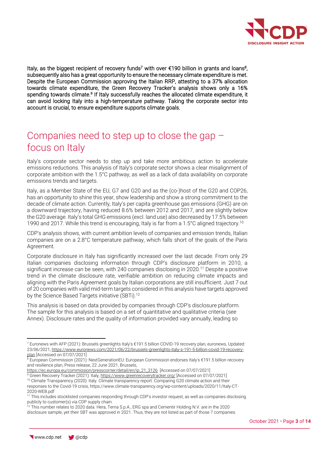

Italy, as the biggest recipient of recovery funds<sup>7</sup> with over €190 billion in grants and loans<sup>8</sup>, subsequently also has a great opportunity to ensure the necessary climate expenditure is met. Despite the European Commission approving the Italian RRP, attesting to a 37% allocation towards climate expenditure, the Green Recovery Tracker's analysis shows only a 16% spending towards climate.<sup>9</sup> If Italy successfully reaches the allocated climate expenditure, it can avoid locking Italy into a high-temperature pathway. Taking the corporate sector into account is crucial, to ensure expenditure supports climate goals.

### Companies need to step up to close the gap – focus on Italy

Italy's corporate sector needs to step up and take more ambitious action to accelerate emissions reductions. This analysis of Italy's corporate sector shows a clear misalignment of corporate ambition with the 1.5°C pathway, as well as a lack of data availability on corporate emissions trends and targets.

Italy, as a Member State of the EU, G7 and G20 and as the (co-)host of the G20 and COP26, has an opportunity to shine this year, show leadership and show a strong commitment to the decade of climate action. Currently, Italy's per capita greenhouse gas emissions (GHG) are on a downward trajectory, having reduced 8.6% between 2012 and 2017, and are slightly below the G20 average. Italy's total GHG emissions (excl. land use) also decreased by 17.5% between 1990 and 2017. While this trend is encouraging, Italy is far from a 1.5°C aligned trajectory.<sup>10</sup>

CDP's analysis shows, with current ambition levels of companies and emission trends, Italian companies are on a 2.8°C temperature pathway, which falls short of the goals of the Paris Agreement.

Corporate disclosure in Italy has significantly increased over the last decade. From only 29 Italian companies disclosing information through CDP's disclosure platform in 2010, a significant increase can be seen, with 240 companies disclosing in 2020.<sup>11</sup> Despite a positive trend in the climate disclosure rate, verifiable ambition on reducing climate impacts and aligning with the Paris Agreement goals by Italian corporations are still insufficient. Just 7 out of 20 companies with valid mid-term targets considered in this analysis have targets approved by the Science Based Targets initiative (SBTi). 12

This analysis is based on data provided by companies through CDP's disclosure platform. The sample for this analysis is based on a set of quantitative and qualitative criteria (see Annex). Disclosure rates and the quality of information provided vary annually, leading so

[https://ec.europa.eu/commission/presscorner/detail/en/ip\\_21\\_3126](https://ec.europa.eu/commission/presscorner/detail/en/ip_21_3126) [Accessed on 07/07/2021]

9 Green Recovery Tracker (2021): Italy[, https://www.greenrecoverytracker.org/](https://www.greenrecoverytracker.org/) [Accessed on 07/07/2021]

<sup>10</sup> Climate Transparency (2020): Italy. Climate transparency report. Comparing G20 climate action and their responses to the Covid-19 crisis, https://www.climate-transparency.org/wp-content/uploads/2020/11/Italy-CT-2020-WEB.pdf

<sup>7</sup> Euronews with AFP (2021): Brussels greenlights Italy's €191.5 billion COVID-19 recovery plan, euronews, Updated: 23/06/2021[, https://www.euronews.com/2021/06/22/brussels-greenlights-italy-s-191-5-billion-covid-19-recovery](https://www.euronews.com/2021/06/22/brussels-greenlights-italy-s-191-5-billion-covid-19-recovery-plan)[plan](https://www.euronews.com/2021/06/22/brussels-greenlights-italy-s-191-5-billion-covid-19-recovery-plan) [Accessed on 07/07/2021]

<sup>8</sup> European Commission (2021): NextGenerationEU: European Commission endorses Italy's €191.5 billion recovery and resilience plan, Press release, 22 June 2021, Brussels,

<sup>&</sup>lt;sup>11</sup> This includes stocklisted companies responding through CDP's investor request, as well as companies disclosing publicly to customer(s) via CDP supply chain.

<sup>&</sup>lt;sup>12</sup> This number relates to 2020 data. Hera, Terna S.p.A., ERG spa and Cementir Holding N.V. are in the 2020 disclosure sample, yet their SBT was approved in 2021. Thus, they are not listed as part of those 7 companies.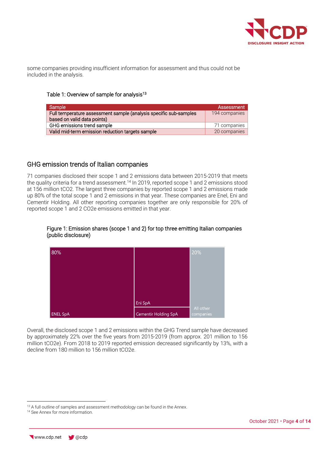

some companies providing insufficient information for assessment and thus could not be included in the analysis.

### Table 1: Overview of sample for analysis<sup>13</sup>

| Sample                                                                                           | Assessment    |
|--------------------------------------------------------------------------------------------------|---------------|
| Full temperature assessment sample (analysis specific sub-samples<br>based on valid data points) | 194 companies |
| GHG emissions trend sample                                                                       | 71 companies  |
| Valid mid-term emission reduction targets sample                                                 | 20 companies  |

### GHG emission trends of Italian companies

71 companies disclosed their scope 1 and 2 emissions data between 2015-2019 that meets the quality criteria for a trend assessment.<sup>14</sup> In 2019, reported scope 1 and 2 emissions stood at 156 million tCO2. The largest three companies by reported scope 1 and 2 emissions made up 80% of the total scope 1 and 2 emissions in that year. These companies are Enel, Eni and Cementir Holding. All other reporting companies together are only responsible for 20% of reported scope 1 and 2 CO2e emissions emitted in that year.

### Figure 1: Emission shares (scope 1 and 2) for top three emitting Italian companies (public disclosure)



Overall, the disclosed scope 1 and 2 emissions within the GHG Trend sample have decreased by approximately 22% over the five years from 2015-2019 (from approx. 201 million to 156 million tCO2e). From 2018 to 2019 reported emission decreased significantly by 13%, with a decline from 180 million to 156 million tCO2e.

<sup>&</sup>lt;sup>13</sup> A full outline of samples and assessment methodology can be found in the Annex.

<sup>&</sup>lt;sup>14</sup> See Annex for more information.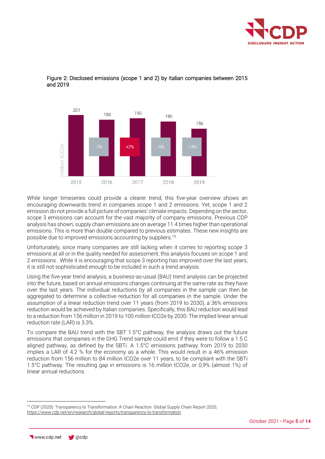



### Figure 2: Disclosed emissions (scope 1 and 2) by Italian companies between 2015 and 2019

While longer timeseries could provide a clearer trend, this five-year overview shows an encouraging downwards trend in companies scope 1 and 2 emissions. Yet, scope 1 and 2 emission do not provide a full picture of companies' climate impacts. Depending on the sector, scope 3 emissions can account for the vast majority of company emissions. Previous CDP analysis has shown, supply chain emissions are on average 11.4 times higher than operational emissions. This is more than double compared to previous estimates. These new insights are possible due to improved emissions accounting by suppliers. 15

Unfortunately, since many companies are still lacking when it comes to reporting scope 3 emissions at all or in the quality needed for assessment, this analysis focuses on scope 1 and 2 emissions. While it is encouraging that scope 3 reporting has improved over the last years, it is still not sophisticated enough to be included in such a trend analysis.

Using the five-year trend analysis, a business-as-usual (BAU) trend analysis can be projected into the future, based on annual emissions changes continuing at the same rate as they have over the last years. The individual reductions by all companies in the sample can then be aggregated to determine a collective reduction for all companies in the sample. Under the assumption of a linear reduction trend over 11 years (from 2019 to 2030), a 36% emissions reduction would be achieved by Italian companies. Specifically, this BAU reduction would lead to a reduction from 156 million in 2019 to 100 million tCO2e by 2030. The implied linear annual reduction rate (LAR) is 3.3%.

To compare the BAU trend with the SBT 1.5°C pathway, the analysis draws out the future emissions that companies in the GHG Trend sample could emit if they were to follow a 1.5 C aligned pathway, as defined by the SBTi. A 1.5°C emissions pathway from 2019 to 2030 implies a LAR of 4.2 % for the economy as a whole. This would result in a 46% emission reduction from 156 million to 84 million tCO2e over 11 years, to be compliant with the SBTi 1.5°C pathway. The resulting gap in emissions is 16 million tCO2e, or 0,9% (almost 1%) of linear annual reductions.

<sup>15</sup> CDP (2020): Transparency to Transformation: A Chain Reaction. Global Supply Chain Report 2020, <https://www.cdp.net/en/research/global-reports/transparency-to-transformation>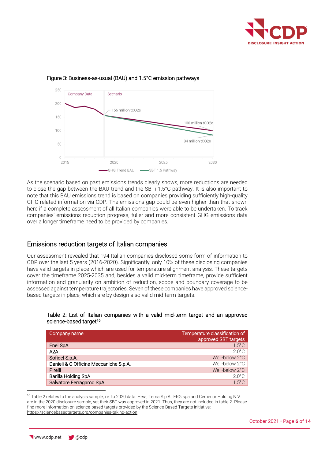



### Figure 3: Business-as-usual (BAU) and 1.5°C emission pathways

As the scenario based on past emissions trends clearly shows, more reductions are needed to close the gap between the BAU trend and the SBTi 1.5°C pathway. It is also important to note that this BAU emissions trend is based on companies providing sufficiently high-quality GHG-related information via CDP. The emissions gap could be even higher than that shown here if a complete assessment of all Italian companies were able to be undertaken. To track companies' emissions reduction progress, fuller and more consistent GHG emissions data over a longer timeframe need to be provided by companies.

### Emissions reduction targets of Italian companies

Our assessment revealed that 194 Italian companies disclosed some form of information to CDP over the last 5 years (2016-2020). Significantly, only 10% of these disclosing companies have valid targets in place which are used for temperature alignment analysis. These targets cover the timeframe 2025-2035 and, besides a valid mid-term timeframe, provide sufficient information and granularity on ambition of reduction, scope and boundary coverage to be assessed against temperature trajectories. Seven of these companies have approved sciencebased targets in place, which are by design also valid mid-term targets.

### Table 2: List of Italian companies with a valid mid-term target and an approved science-based target<sup>16</sup>

| Company name                           | Temperature classification of<br>approved SBT targets |
|----------------------------------------|-------------------------------------------------------|
| Enel SpA                               | $1.5^{\circ}$ C                                       |
| A2A                                    | $2.0^{\circ}$ C                                       |
| Sofidel S.p.A.                         | Well-below 2°C                                        |
| Danieli & C Officine Meccaniche S.p.A. | Well-below 2°C                                        |
| Pirelli                                | Well-below 2°C                                        |
| Barilla Holding SpA                    | $2.0^{\circ}$ C                                       |
| Salvatore Ferragamo SpA                | $1.5^{\circ}$ C                                       |

<sup>16</sup> Table 2 relates to the analysis sample, i.e. to 2020 data. Hera, Terna S.p.A., ERG spa and Cementir Holding N.V. are in the 2020 disclosure sample, yet their SBT was approved in 2021. Thus, they are not included in table 2. Please find more information on science-based targets provided by the Science-Based Targets initiative: <https://sciencebasedtargets.org/companies-taking-action>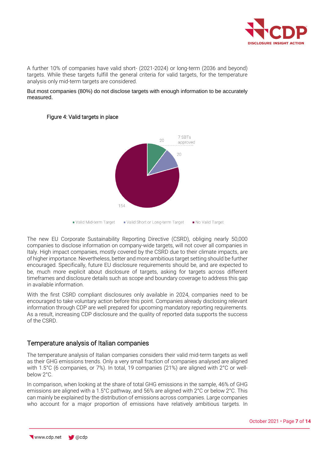

A further 10% of companies have valid short- (2021-2024) or long-term (2036 and beyond) targets. While these targets fulfill the general criteria for valid targets, for the temperature analysis only mid-term targets are considered.

But most companies (80%) do not disclose targets with enough information to be accurately measured.



### Figure 4: Valid targets in place

The new EU Corporate Sustainability Reporting Directive (CSRD), obliging nearly 50,000 companies to disclose information on company-wide targets, will not cover all companies in Italy. High impact companies, mostly covered by the CSRD due to their climate impacts, are of higher importance. Nevertheless, better and more ambitious target setting should be further encouraged. Specifically, future EU disclosure requirements should be, and are expected to be, much more explicit about disclosure of targets, asking for targets across different timeframes and disclosure details such as scope and boundary coverage to address this gap in available information.

With the first CSRD compliant disclosures only available in 2024, companies need to be encouraged to take voluntary action before this point. Companies already disclosing relevant information through CDP are well prepared for upcoming mandatory reporting requirements. As a result, increasing CDP disclosure and the quality of reported data supports the success of the CSRD.

### Temperature analysis of Italian companies

The temperature analysis of Italian companies considers their valid mid-term targets as well as their GHG emissions trends. Only a very small fraction of companies analysed are aligned with 1.5°C (6 companies, or 7%). In total, 19 companies (21%) are aligned with 2°C or wellbelow 2°C.

In comparison, when looking at the share of total GHG emissions in the sample, 46% of GHG emissions are aligned with a 1.5°C pathway, and 56% are aligned with 2°C or below 2°C. This can mainly be explained by the distribution of emissions across companies. Large companies who account for a major proportion of emissions have relatively ambitious targets. In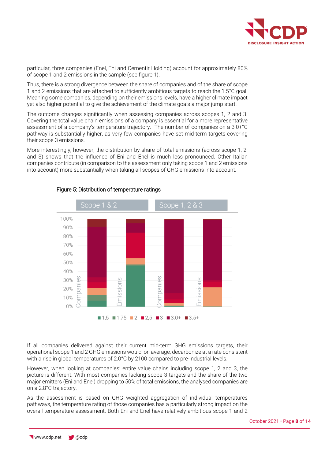

particular, three companies (Enel, Eni and Cementir Holding) account for approximately 80% of scope 1 and 2 emissions in the sample (see figure 1).

Thus, there is a strong divergence between the share of companies and of the share of scope 1 and 2 emissions that are attached to sufficiently ambitious targets to reach the 1.5°C goal. Meaning some companies, depending on their emissions levels, have a higher climate impact yet also higher potential to give the achievement of the climate goals a major jump start.

The outcome changes significantly when assessing companies across scopes 1, 2 and 3. Covering the total value chain emissions of a company is essential for a more representative assessment of a company's temperature trajectory. The number of companies on a 3.0+°C pathway is substantially higher, as very few companies have set mid-term targets covering their scope 3 emissions.

More interestingly, however, the distribution by share of total emissions (across scope 1, 2, and 3) shows that the influence of Eni and Enel is much less pronounced. Other Italian companies contribute (in comparison to the assessment only taking scope 1 and 2 emissions into account) more substantially when taking all scopes of GHG emissions into account.



### Figure 5: Distribution of temperature ratings

If all companies delivered against their current mid-term GHG emissions targets, their operational scope 1 and 2 GHG emissions would, on average, decarbonize at a rate consistent with a rise in global temperatures of 2.0°C by 2100 compared to pre-industrial levels.

However, when looking at companies' entire value chains including scope 1, 2 and 3, the picture is different. With most companies lacking scope 3 targets and the share of the two major emitters (Eni and Enel) dropping to 50% of total emissions, the analysed companies are on a 2.8°C trajectory.

As the assessment is based on GHG weighted aggregation of individual temperatures pathways, the temperature rating of those companies has a particularly strong impact on the overall temperature assessment. Both Eni and Enel have relatively ambitious scope 1 and 2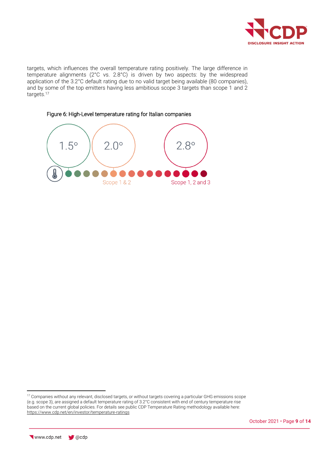

targets, which influences the overall temperature rating positively. The large difference in temperature alignments (2°C vs. 2.8°C) is driven by two aspects: by the widespread application of the 3.2°C default rating due to no valid target being available (80 companies), and by some of the top emitters having less ambitious scope 3 targets than scope 1 and 2 targets.<sup>17</sup>



Figure 6: High-Level temperature rating for Italian companies

<sup>&</sup>lt;sup>17</sup> Companies without any relevant, disclosed targets, or without targets covering a particular GHG emissions scope (e.g. scope 3), are assigned a default temperature rating of 3.2°C consistent with end of century temperature rise based on the current global policies. For details see public CDP Temperature Rating methodology available here: <https://www.cdp.net/en/investor/temperature-ratings>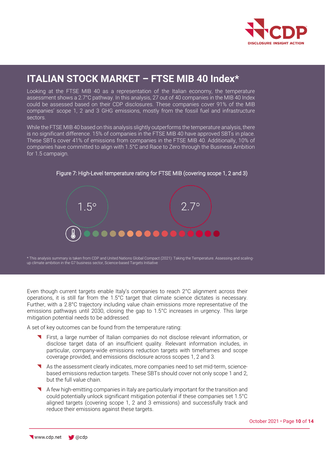

## **ITALIAN STOCK MARKET – FTSE MIB 40 Index\***

Looking at the FTSE MIB 40 as a representation of the Italian economy, the temperature assessment shows a 2.7°C pathway. In this analysis, 27 out of 40 companies in the MIB 40 Index could be assessed based on their CDP disclosures. These companies cover 91% of the MIB companies' scope 1, 2 and 3 GHG emissions, mostly from the fossil fuel and infrastructure sectors.

While the FTSE MIB 40 based on this analysis slightly outperforms the temperature analysis, there is no significant difference. 15% of companies in the FTSE MIB 40 have approved SBTs in place. These SBTs cover 41% of emissions from companies in the FTSE MIB 40. Additionally, 10% of companies have committed to align with 1.5°C and Race to Zero through the Business Ambition for 1.5 campaign.



Figure 7: High-Level temperature rating for FTSE MIB (covering scope 1, 2 and 3)

\* This analysis summary is taken from CDP and United Nations Global Compact (2021): Taking the Temperature. Assessing and scalingup climate ambition in the G7 business sector, Science-based Targets Initiative

Even though current targets enable Italy's companies to reach 2°C alignment across their operations, it is still far from the 1.5°C target that climate science dictates is necessary. Further, with a 2.8°C trajectory including value chain emissions more representative of the emissions pathways until 2030, closing the gap to 1.5°C increases in urgency. This large mitigation potential needs to be addressed.

A set of key outcomes can be found from the temperature rating:

- First, a large number of Italian companies do not disclose relevant information, or disclose target data of an insufficient quality. Relevant information includes, in particular, company-wide emissions reduction targets with timeframes and scope coverage provided, and emissions disclosure across scopes 1, 2 and 3.
- As the assessment clearly indicates, more companies need to set mid-term, sciencebased emissions reduction targets. These SBTs should cover not only scope 1 and 2, but the full value chain.
- A few high-emitting companies in Italy are particularly important for the transition and could potentially unlock significant mitigation potential if these companies set 1.5°C aligned targets (covering scope 1, 2 and 3 emissions) and successfully track and reduce their emissions against these targets.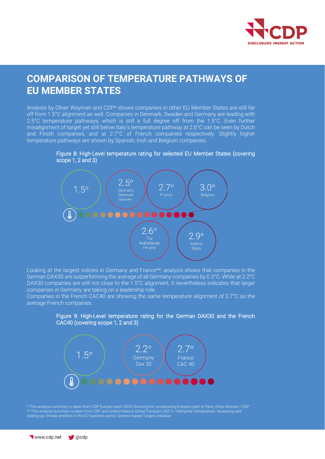

### **COMPARISON OF TEMPERATURE PATHWAYS OF EU MEMBER STATES**

Analysis by Oliver Wayman and CDP\* shows companies in other EU Member States are still far off from 1.5°C alignment as well. Companies in Denmark, Sweden and Germany are leading with 2.5°C temperature pathways, which is still a full degree off from the 1.5°C. Even further misalignment of target yet still below Italy's temperature pathway at 2.6°C can be seen by Dutch and Finish companies, and at 2.7°C of French companies respectively. Slightly higher temperature pathways are shown by Spanish, Irish and Belgium companies.





Looking at the largest indices in Germany and France\*\*, analysis shows that companies in the German DAX30 are outperforming the average of all Germany companies by 0.3°C. While at 2.2°C DAX30 companies are still not close to the 1.5°C alignment, it nevertheless indicates that larger companies in Germany are taking on a leadership role.

Companies in the French CAC40 are showing the same temperature alignment of 2.7°C as the average French companies.





\* This analysis summary is taken from CDP Europe report 2020: Running hot: accelerating Europe's path to Paris, Oliver Wyman / CDP \*\* This analysis summary is taken from CDP and United Nations Global Compact (2021): Taking the Temperature. Assessing and scaling-up climate ambition in the G7 business sector, Science-based Targets Initiative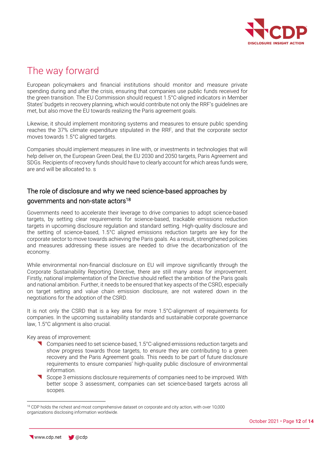

# The way forward

European policymakers and financial institutions should monitor and measure private spending during and after the crisis, ensuring that companies use public funds received for the green transition. The EU Commission should request 1.5°C-aligned indicators in Member States' budgets in recovery planning, which would contribute not only the RRF's guidelines are met, but also move the EU towards realizing the Paris agreement goals.

Likewise, it should implement monitoring systems and measures to ensure public spending reaches the 37% climate expenditure stipulated in the RRF, and that the corporate sector moves towards 1.5°C aligned targets.

Companies should implement measures in line with, or investments in technologies that will help deliver on, the European Green Deal, the EU 2030 and 2050 targets, Paris Agreement and SDGs. Recipients of recovery funds should have to clearly account for which areas funds were, are and will be allocated to. s

### The role of disclosure and why we need science-based approaches by governments and non-state actors<sup>18</sup>

Governments need to accelerate their leverage to drive companies to adopt science-based targets, by setting clear requirements for science-based, trackable emissions reduction targets in upcoming disclosure regulation and standard setting. High-quality disclosure and the setting of science-based, 1.5°C aligned emissions reduction targets are key for the corporate sector to move towards achieving the Paris goals. As a result, strengthened policies and measures addressing these issues are needed to drive the decarbonization of the economy.

While environmental non-financial disclosure on EU will improve significantly through the Corporate Sustainability Reporting Directive, there are still many areas for improvement. Firstly, national implementation of the Directive should reflect the ambition of the Paris goals and national ambition. Further, it needs to be ensured that key aspects of the CSRD, especially on target setting and value chain emission disclosure, are not watered down in the negotiations for the adoption of the CSRD.

It is not only the CSRD that is a key area for more 1.5°C-alignment of requirements for companies. In the upcoming sustainability standards and sustainable corporate governance law, 1.5°C alignment is also crucial.

Key areas of improvement:

- Companies need to set science-based, 1.5°C-aligned emissions reduction targets and show progress towards those targets, to ensure they are contributing to a green recovery and the Paris Agreement goals. This needs to be part of future disclosure requirements to ensure companies' high-quality public disclosure of environmental information.
- Scope 3 emissions disclosure requirements of companies need to be improved. With better scope 3 assessment, companies can set science-based targets across all scopes.

<sup>&</sup>lt;sup>18</sup> CDP holds the richest and most comprehensive dataset on corporate and city action, with over 10,000 organizations disclosing information worldwide.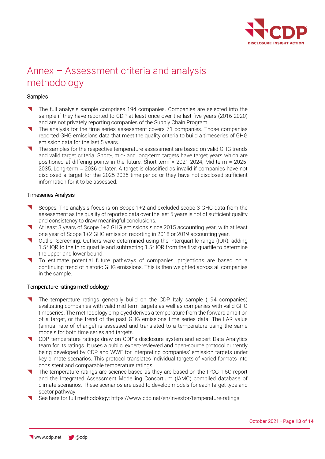

# Annex – Assessment criteria and analysis methodology

### **Samples**

- The full analysis sample comprises 194 companies. Companies are selected into the sample if they have reported to CDP at least once over the last five years (2016-2020) and are not privately reporting companies of the Supply Chain Program.
- The analysis for the time series assessment covers 71 companies. Those companies reported GHG emissions data that meet the quality criteria to build a timeseries of GHG emission data for the last 5 years.
- The samples for the respective temperature assessment are based on valid GHG trends and valid target criteria. Short-, mid- and long-term targets have target years which are positioned at differing points in the future: Short-term = 2021-2024, Mid-term = 2025- 2035, Long-term = 2036 or later. A target is classified as invalid if companies have not disclosed a target for the 2025-2035 time-period or they have not disclosed sufficient information for it to be assessed.

### Timeseries Analysis

- Scopes: The analysis focus is on Scope 1+2 and excluded scope 3 GHG data from the assessment as the quality of reported data over the last 5 years is not of sufficient quality and consistency to draw meaningful conclusions.
- At least 3 years of Scope 1+2 GHG emissions since 2015 accounting year, with at least one year of Scope 1+2 GHG emission reporting in 2018 or 2019 accounting year.
- Outlier Screening: Outliers were determined using the interquartile range (IQR), adding 1.5\* IQR to the third quartile and subtracting 1.5\* IQR from the first quartile to determine the upper and lower bound.
- To estimate potential future pathways of companies, projections are based on a continuing trend of historic GHG emissions. This is then weighted across all companies in the sample.

### Temperature ratings methodology

- The temperature ratings generally build on the CDP Italy sample (194 companies) evaluating companies with valid mid-term targets as well as companies with valid GHG timeseries. The methodology employed derives a temperature from the forward ambition of a target, or the trend of the past GHG emissions time series data. The LAR value (annual rate of change) is assessed and translated to a temperature using the same models for both time series and targets.
- CDP temperature ratings draw on CDP's disclosure system and expert Data Analytics team for its ratings. It uses a public, expert-reviewed and open-source protocol currently being developed by CDP and WWF for interpreting companies' emission targets under key climate scenarios. This protocol translates individual targets of varied formats into consistent and comparable temperature ratings.
- The temperature ratings are science-based as they are based on the IPCC 1.5C report and the Integrated Assessment Modelling Consortium (IAMC) compiled database of climate scenarios. These scenarios are used to develop models for each target type and sector pathway.
- See here for full methodology:<https://www.cdp.net/en/investor/temperature-ratings>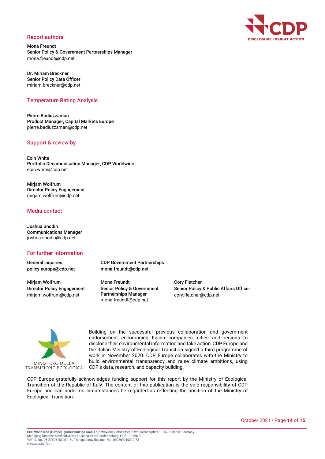#### Report authors

Mona Freundt Senior Policy & Government Partnerships Manager mona.freundt@cdp.net

Dr. Miriam Breckner Senior Policy Data Officer miriam.breckner@cdp.net

#### Temperature Rating Analysis

Pierre Badiuzzaman Product Manager, Capital Markets Europe pierre.badiuzzaman@cdp.net

#### Support & review by

Eoin White Portfolio Decarbonisation Manager, CDP Worldwide eoin.white@cdp.net

Mirjam Wolfrum Director Policy Engagement mirjam.wolfrum@cdp.net

### Media contact

Joshua Snodin Communications Manager joshua.snodin@cdp.net

#### For further information

General inquiries policy.europe@cdp.net

Mirjam Wolfrum Director Policy Engagement mirjam.wolfrum@cdp.net

CDP Government Partnerships mona.freundt@cdp.net

Mona Freundt Senior Policy & Government Partnerships Manager mona.freundt@cdp.net

Cory Fletcher Senior Policy & Public Affairs Officer cory.fletcher@cdp.net



Building on the successful previous collaboration and government endorsement encouraging Italian companies, cities and regions to disclose their environmental information and take action, CDP Europe and the Italian Ministry of Ecological Transition signed a third programme of work in November 2020. CDP Europe collaborates with the Ministry to build environmental transparency and raise climate ambitions, using CDP's data, research, and capacity building.

CDP Europe gratefully acknowledges funding support for this report by the Ministry of Ecological Transition of the Republic of Italy. The content of this publication is the sole responsibility of CDP Europe and can under no circumstances be regarded as reflecting the position of the Ministry of Ecological Transition.



October 2021 • Page **14** of **15**